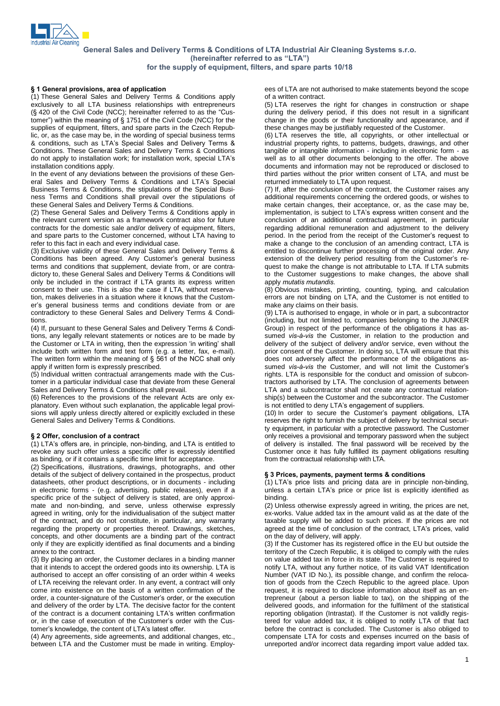

# for the supply of equipment, filters, and spare parts 10/18<br>1 General provisions, area of application ees of LTA are not authorised

(1) These General Sales and Delivery Terms & Conditions apply exclusively to all LTA business relationships with entrepreneurs (1) These General Sales and Delivery Terms & Conditions apply exclusively to all LTA business relationships with entrepreneurs (§ 420 of the Civil Code (NCC); hereinafter referred to as the "Cus-(§ 420 of the Civil Code (NCC); hereinafter referred to as the "Customer") within the meaning of § 1751 of the Civil Code (NCC) for the supplies of equipment, filters, and spare parts in the Czech Repub-<br>
lic, or, as the case may be, in the wording of special business terms (i)<br>
& conditions, such as LTA's Special Sales and Delivery Terms & in lic, or, as the case may be, in the wording of special business terms  $\&$  conditions, such as LTA's Special Sales and Delivery Terms  $\&$ Conditions. These General Sales and Delivery Terms & Conditions do conditions, such as LTA's Special Sales and Delivery Terms &<br>Conditions. These General Sales and Delivery Terms & Conditions<br>do not apply to installation work; for installation work, special LTA's installation conditions apply.

In the event of any deviations between the provisions of these Gen installation conditions apply.<br>In the event of any deviations between the provisions of these General Sales and Delivery Terms & Conditions and LTA's Special Business Terms & Conditions, the stipulations of the Special Busi ness Terms and Conditions shall prevail over the stipulations of these General Sales and Delivery Terms & Conditions.

(2) These General Sales and Delivery Terms & Conditions apply in the relevant current version as a framework contract also for future contracts for the domestic sale and/or delivery of equipment, filters, and spare parts to the Customer concerned, without LTA having to refer to this fact in each and every individual case.

(3) Exclusive validity of these General Sales and Delivery Terms & Conditions has been agreed. Any Customer's general business terms and conditions that supplement, deviate from, or are contra dictory to, these General Sales and Delivery Terms & Conditions will only be included in the contract if LTA grants its express written consent to their use. This is also the case if LTA, without reserva-erís general business terms and conditions deviate from or are tion, makes deliveries in a situation where it knows that the Custom contradictory to these General Sales and Delivery Terms & Conditions.

(4) If, pursuant to these General Sales and Delivery Terms & Conditions, any legally relevant statements or notices are to be made by the Customer Customer Customer Customer Customer Customs, any legally relevant statements or notices are to be made by the Customer or LTA in writing, then the expression 'in writing' shall include both written form and text form (e.g. a letter, fax, e-mail). the Customer or LTA in writing, then the expression 'in writing' shall include both written form and text form (e.g. a letter, fax, e-mail).<br>The written form within the meaning of  $\S$  561 of the NCC shall only apply if written form is expressly prescribed.

(5) Individual written contractual arrangements made with the Customer in a particular individual case that deviate from these General Sales and Delivery Terms & Conditions shall prevail.

(6) References to the provisions of the relevant Acts are only ex planatory. Even without such explanation, the applicable legal provisions will apply unless directly altered or explicitly excluded in these General Sales and Delivery Terms & Conditions.<br>General Sales and Delivery Terms & Conditions.<br>**§ 2 Offer, conclusion of a contract** 

§ 2 Offer, conclusion of a contract<br>(1) LTA's offers are, in principle, non-binding, and LTA is entitled to revoke any such offer unless a specific offer is expressly identified as binding, or if it contains a specific time limit for acceptance.

(2) Specifications, illustrations, drawings, photographs, and other details of the subject of delivery contained in the prospectus, product datasheets, other product descriptions, or in documents - including in electronic forms - (e.g. advertising, public releases), even if a specific price of the subject of delivery is stated, are only approxi mate and non-binding, and serve, unless otherwise expressly agreed in writing, only for the individualisation of the subject matter of the contract, and do not constitute, in particular, any warranty regarding the property or properties thereof. Drawings, sketches, concepts, and other documents are a binding part of the contract only if they are explicitly identified as final documents and a binding annex to the contract.

(3) By placing an order, the Customer declares in a binding manner that it intends to accept the ordered goods into its ownership. LTA is authorised to accept an offer consisting of an order within 4 weeks of LTA receiving the relevant order. In any event, a contract will only order, <sup>a</sup> counter-signature of the Customerís order, or the execution come into existence on the basis of a written confirmation of the and delivery of the order by LTA. The decisive factor for the content order, a counter-signature of the Customer's order, or the execution<br>and delivery of the order by LTA. The decisive factor for the content<br>of the contract is a document containing LTA's written confirmation and delivery of the order by LTA. The decisive factor for the content of the contract is a document containing LTA's written confirmation or, in the case of execution of the Customer's order with the Cusof the contract is a document containing LTA's written confirmation or, in the case of execution of the Customer's order with the Customer's knowledge, the content of LTA's latest offer.

(4) Any agreements, side agreements, and additional changes, etc., between LTA and the Customer must be made in writing. Employees of LTA are not authorised to make statements beyond the scope of a written contract.

(5) LTA reserves the right for changes in construction or shape during the delivery period, if this does not result in a significant change in the goods or their functionality and appearance, and if these changes may be justifiably requested of the Customer.

(6) LTA reserves the title, all copyrights, or other intellectual or industrial property rights, to patterns, budgets, drawings, and other tangible or intangible information - including in electronic form - as well as to all other documents belonging to the offer. The above documents and information may not be reproduced or disclosed to third parties without the prior written consent of LTA, and must be returned immediately to LTA upon request.

(7) If, after the conclusion of the contract, the Customer raises any additional requirements concerning the ordered goods, or wishes to make certain changes, their acceptance, or, as the case may be, implementation, is subject to LTA's express written consent and the conclusion of an additional contractual agreement, in particular period. In the period from the receipt of the Customerís request to regarding additional remuneration and adjustment to the delivery period. In the period from the receipt of the Customer's request to make a change to the conclusion of an amending contract, LTA is entitled to discontinue further processing of the original order. Any extension of the delivery period resulting from the Customer's resuch to make the change is not attributable to LTA. If LTA submits<br>to the Customer suggestions to make changes, the above shall<br>apply *mutatis mutandis*. to the Customer suggestions to make changes, the above shall

(8) Obvious mistakes, printing, counting, typing, and calculation errors are not binding on LTA, and the Customer is not entitled to make any claims on their basis.

(9) LTA is authorised to engage, in whole or in part, a subcontractor (including, but not limited to, companies belonging to the JUNKER Group) in respect of the performance of the obligations it has assumed *vis-* $\hat{a}$ *-vis* the Customer, in relation to the production and Group) in respect of the performance of the obligations it has as delivery of the subject of delivery and/or service, even without the prior consent of the Customer. In doing so, LTA will ensure that this does not adversely affect the performance of the obligations assumed *vis-à-vis* the Customer, and will not limit the Customer's does not adversely affect the performance of the obligations assumed vis-à-vis the Customer, and will not limit the Customer's rights. LTA is responsible for the conduct and omission of subcontractors authorised by LTA. The conclusion of agreements between LTA and a subcontractor shall not create any contractual relation ship(s) between the Customer and the subcontractor. The Customer is not a subcontractor shall not create any contractual<br>ship(s) between the Customer and the subcontractor. The<br>is not entitled to deny LTA's engagement of suppliers.

is not entitled to deny LTA's engagement of suppliers.<br>(10) In order to secure the Customer's payment obligations, LTA reserves the right to furnish the subject of delivery by technical security equipment, in particular with a protective password. The Customer only receives a provisional and temporary password when the subject of delivery is installed. The final password will be received by the Customer once it has fully fulfilled its payment obligations resulting from the contractual relationship with LTA.

## <sup>3</sup> Prices, payments, payment terms & conditions

(1) LTA is consecuted collustion primit by a<br>§ 3 Prices, payments, payment terms & conditions<br>(1) LTA's price lists and pricing data are in principle non-binding, § 3 Prices, payments, payment terms & conditions<br>(1) LTA's price lists and pricing data are in principle non-binding,<br>unless a certain LTA's price or price list is explicitly identified as binding.

(2) Unless otherwise expressly agreed in writing, the prices are net,<br>ex-works. Value added tax in the amount valid as at the date of the taxable supply will be added to such prices. If the prices are not ex-works. Value added tax in the amount valid as at the date of the taxable supply will be added to such prices. If the prices are not agreed at the time of conclusion of the contract, LTA's prices, valid on the day of delivery, will apply.

(3) If the Customer has its registered office in the EU but outside the territory of the Czech Republic, it is obliged to comply with the rules on value added tax in force in its state. The Customer is required to notify LTA, without any further notice, of its valid VAT Identification Number (VAT ID No.), its possible change, and confirm the relocation of goods from the Czech Republic to the agreed place. Upon request, it is required to disclose information about itself as an entrepreneur (about a person liable to tax), on the shipping of the delivered goods, and information for the fulfilment of the statistical reporting obligation (Intrastat). If the Customer is not validly registered for value added tax, it is obliged to notify LTA of that fact before the contract is concluded. The Customer is also obliged to compensate LTA for costs and expenses incurred on the basis of unreported and/or incorrect data regarding import value added tax.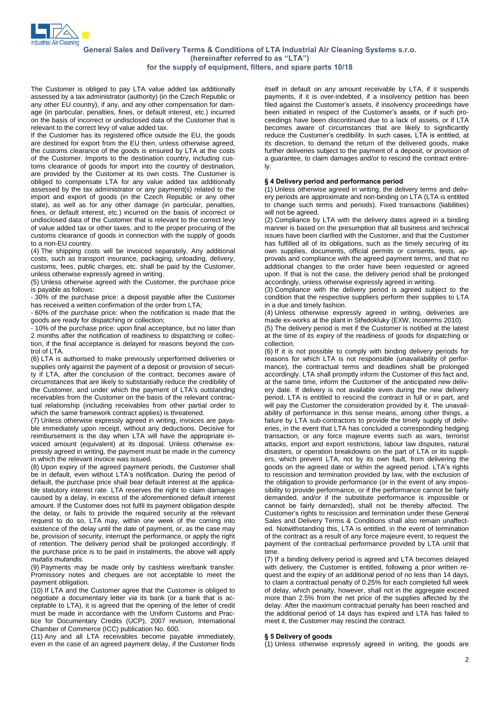

The Customer is obliged to pay LTA value added tax additionally assessed by a tax administrator (authority) (in the Czech Republic or any other EU country), if any, and any other compensation for damage (in particular, penalties, fines, or default interest, etc.) incurred on the basis of incorrect or undisclosed data of the Customer that is relevant to the correct levy of value added tax.

If the Customer has its registered office outside the EU, the goods are destined for export from the EU then, unless otherwise agreed, the customs clearance of the goods is ensured by LTA at the costs of the Customer. Imports to the destination country, including customs clearance of goods for import into the country of destination, are provided by the Customer at its own costs. The Customer is obliged to compensate LTA for any value added tax additionally assessed by the tax administrator or any payment(s) related to the import and export of goods (in the Czech Republic or any other state), as well as for any other damage (in particular, penalties, fines, or default interest, etc.) incurred on the basis of incorrect or undisclosed data of the Customer that is relevant to the correct levy of value added tax or other taxes, and to the proper procuring of the customs clearance of goods in connection with the supply of goods to a non-EU country.

(4) The shipping costs will be invoiced separately. Any additional costs, such as transport insurance, packaging, unloading, delivery, customs, fees, public charges, etc. shall be paid by the Customer, unless otherwise expressly agreed in writing.

(5) Unless otherwise agreed with the Customer, the purchase price is payable as follows:

- 30% of the purchase price: a deposit payable after the Customer has received a written confirmation of the order from LTA;

- 60% of the purchase price: when the notification is made that the goods are ready for dispatching or collection;

- 10% of the purchase price: upon final acceptance, but no later than 2 months after the notification of readiness to dispatching or collection, if the final acceptance is delayed for reasons beyond the control of LTA.

(6) LTA is authorised to make previously unperformed deliveries or supplies only against the payment of a deposit or provision of security if LTA, after the conclusion of the contract, becomes aware of circumstances that are likely to substantially reduce the credibility of by if LTA, after the conclusion of the contract, becomes aware of<br>circumstances that are likely to substantially reduce the credibility of<br>the Customer, and under which the payment of LTA's outstanding receivables from the Customer on the basis of the relevant contractual relationship (including receivables from other partial order to which the same framework contract applies) is threatened.

(7) Unless otherwise expressly agreed in writing, invoices are paya ble immediately upon receipt, without any deductions. Decisive for reimbursement is the day when LTA will have the appropriate in voiced amount (equivalent) at its disposal. Unless otherwise ex pressly agreed in writing, the payment must be made in the currency in which the relevant invoice was issued.

(8) Upon expiry of the agreed payment periods, the Customer shall be in which the relevant invoice was issued.<br>
(8) Upon expiry of the agreed payment periods, the Customer shall<br>
be in default, even without LTA's notification. During the period of default, the purchase price shall bear default interest at the applicable statutory interest rate. LTA reserves the right to claim damages caused by a delay, in excess of the aforementioned default interest amount. If the Customer does not fulfil its payment obligation despite the delay, or fails to provide the required security at the relevant request to do so, LTA may, within one week of the coming into existence of the delay until the date of payment, or, as the case may be, provision of security, interrupt the performance, or apply the right of retention. The delivery period shall be prolonged accordingly. If be, provision of retention. The delivery period shall be prolonged accordingly. If the purchase price is to be paid in instalments, the above will apply mutatis mutandis.

(9) Payments may be made only by cashless wire/bank transfer. Promissory notes and cheques are not acceptable to meet the payment obligation.

(10) If LTA and the Customer agree that the Customer is obliged to negotiate a documentary letter via its bank (or a bank that is ac-<br>(10) If LTA and the Customer agree that the Customer is obliged to<br>negotiate a documentary letter via its bank (or a bank that is acceptable to LTA), it is agreed that the opening of the letter of credit must be made in accordance with the Uniform Customs and Practice for Documentary Credits (UCP), 2007 revision, International Chamber of Commerce (ICC) publication No. 600.

(11) Any and all LTA receivables become payable immediately, even in the case of an agreed payment delay, if the Customer finds

itself in default on any amount receivable by LTA, if it suspends payments, if it is over-indebted, if a insolvency petition has been itself in default on any amount receivable by LTA, if it suspends<br>payments, if it is over-indebted, if a insolvency petition has been<br>filed against the Customer's assets, if insolvency proceedings have beginned is a constant of the constant of the customer state of the Customerís assets, if insolvency proceedings have<br>filed against the Customer's assets, if insolvency proceedings have<br>been initiated in respect of the Cus ceedings have been discontinued due to a lack of assets, or if LTA becomes aware of circumstances that are likely to significantly ceedings have been discontinued due to a lack of assets, or if LTA becomes aware of circumstances that are likely to significantly reduce the Customer's credibility. In such cases, LTA is entitled, at its discretion, to demand the return of the delivered goods, make further deliveries subject to the payment of a deposit, or provision of a guarantee, to claim damages and/or to rescind the contract entire- $\mathsf{I} \mathsf{v}$ .

## <sup>4</sup> Delivery period and performance period

(1) Unless otherwise agreed in writing, the delivery terms and deliv ery periods are approximate and non-binding on LTA (LTA is entitled to change such terms and periods). Fixed transactions (liabilities) will not be agreed.

(2) Compliance by LTA with the delivery dates agreed in a binding manner is based on the presumption that all business and technical issues have been clarified with the Customer, and that the Customer has fulfilled all of its obligations, such as the timely securing of its own supplies, documents, official permits or consents, tests, ap provals and compliance with the agreed payment terms, and that no additional changes to the order have been requested or agreed upon. If that is not the case, the delivery period shall be prolonged accordingly, unless otherwise expressly agreed in writing.

(3) Compliance with the delivery period is agreed subject to the condition that the respective suppliers perform their supplies to LTA in a due and timely fashion.

(4) Unless otherwise expressly agreed in writing, deliveries are madue and timely fashion.<br>
(4) Unless otherwise expressly agreed in writing, deliveries are<br>
made ex-works at the plant in Středokluky (EXW, Incoterms 2010).

(5) The delivery period is met if the Customer is notified at the latest at the time of its expiry of the readiness of goods for dispatching or collection.

(6) If it is not possible to comply with binding delivery periods for reasons for which LTA is not responsible (unavailability of perfor mance), the contractual terms and deadlines shall be prolonged accordingly. LTA shall promptly inform the Customer of this fact and, at the same time, inform the Customer of the anticipated new deliv ery date. If delivery is not available even during the new delivery period, LTA is entitled to rescind the contract in full or in part, and will pay the Customer the consideration provided by it. The unavail ability of performance in this sense means, among other things, a failure by LTA sub-contractors to provide the timely supply of deliv eries, in the event that LTA has concluded a corresponding hedging transaction, or any force majeure events such as wars, terrorist attacks, import and export restrictions, labour law disputes, natural disasters, or operation breakdowns on the part of LTA or its suppliers, which prevent LTA, not by its own fault, from delivering the goods on the agreed date or within the agreed period. LTA's rights to rescission and termination provided by law, with the exclusion of the obligation to provide performance (or in the event of any impos sibility to provide performance, or if the performance cannot be fairly demanded, and/or if the substitute performance is impossible or cannot be fairly demanded), shall not be thereby affected. The demanded, and/or if the substitute performance is impossible or cannot be fairly demanded), shall not be thereby affected. The Customer's rights to rescission and termination under these General Sales and Delivery Terms & Conditions shall also remain unaffect ed. Notwithstanding this, LTA is entitled, in the event of termination of the contract as a result of any force majeure event, to request the payment of the contractual performance provided by LTA until that time.

(7) If a binding delivery period is agreed and LTA becomes delayed with delivery, the Customer is entitled, following <sup>a</sup> prior written re-quest and the expiry of an additional period of no less than <sup>14</sup> days, to claim a contractual penalty of 0.25% for each completed full week of delay, which penalty, however, shall not in the aggregate exceed more than 2.5% from the net price of the supplies affected by the delay. After the maximum contractual penalty has been reached and the additional period of 14 days has expired and LTA has failed to meet it, the Customer may rescind the contract.<br> **S 5 Delivery of goods** 

(1) Unless otherwise expressly agreed in writing, the goods are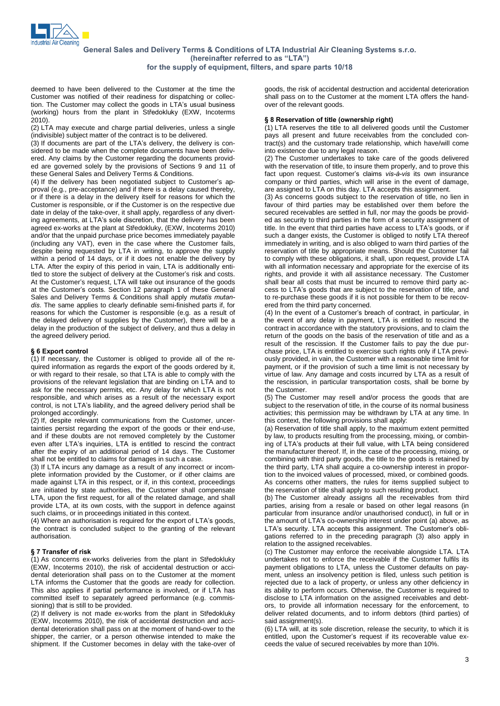

deemed to have been delivered to the Customer at the time the Customer was notified of their readiness for dispatching or collecdeemed to have been delivered to the Customer at the time the<br>Customer was notified of their readiness for dispatching or collec-<br>tion. The Customer may collect the goods in LTA's usual business Customer was notified of their readiness for dispatching or collection. The Customer may collect the goods in LTA's usual business (working) hours from the plant in Středokluky (EXW, Incoterms 2010).

(2) LTA may execute and charge partial deliveries, unless a single (indivisible) subject matter of the contract is to be delivered.

(3) If documents are part of the LTA's delivery, the delivery is considered to be made when the complete documents have been delivered. Any claims by the Customer regarding the documents provid ed are governed solely by the provisions of Sections 9 and 11 of these General Sales and Delivery Terms & Conditions.<br>(4) If the delivery has been negotiated subject to Customer's ap-

these General Sales and Delivery Terms & Conditions.<br>(4) If the delivery has been negotiated subject to Customer's approval (e.g., pre-acceptance) and if there is a delay caused thereby, or if there is a delay in the delivery itself for reasons for which the Customer is responsible, or if the Customer is on the respective due date in delay of the take-over, it shall apply, regardless of any divert-Customer is responsible, or if the Customer is on the respective due<br>date in delay of the take-over, it shall apply, regardless of any divert-<br>ing agreements, at LTA's sole discretion, that the delivery has been date in delay of the take-over, it shall apply, regardless of any diverting agreements, at LTA's sole discretion, that the delivery has been agreed ex-works at the plant at Středokluky, (EXW, Incoterms 2010) and/or that the unpaid purchase price becomes immediately payable (including any VAT), even in the case where the Customer fails, despite being requested by LTA in writing, to approve the supply within a period of 14 days, or if it does not enable the delivery by LTA. After the expiry of this period in vain, LTA is additionally entiwithin a period of 14 days, or if it does not enable the delivery by<br>LTA. After the expiry of this period in vain, LTA is additionally enti-<br>tled to store the subject of delivery at the Customer's risk and costs. LTA. After the expiry of this period in vain, LTA is additionally entitled to store the subject of delivery at the Customer's risk and costs.<br>At the Customer's request, LTA will take out insurance of the goods tled to store the subject of delivery at the Customer's risk and costs.<br>At the Customer's request, LTA will take out insurance of the goods<br>at the Customer's costs. Section 12 paragraph 1 of these General<br>Sales and Deliver at the Customer's costs. Section 12 paragraph 1 of these General dis. The same applies to clearly definable semi-finished parts if, for reasons for which the Customer is responsible (e.g. as a result of the delayed delivery of supplies by the Customer), there will be a delay in the production of the subject of delivery, and thus a delay in the agreed delivery period. ß <sup>6</sup> Export control

(1) If necessary, the Customer is obliged to provide all of the re quired information as regards the export of the goods ordered by it, or with regard to their resale, so that LTA is able to comply with the provisions of the relevant legislation that are binding on LTA and to ask for the necessary permits, etc. Any delay for which LTA is notresponsible, and which arises as <sup>a</sup> result of the necessary export control, is not LTAís liability, and the agreed delivery period shall be prolonged accordingly.

(2) If, despite relevant communications from the Customer, uncertainties persist regarding the export of the goods or their end-use, and if these doubts are not removed completely by the Customer even after LTA's inquiries, LTA is entitled to rescind the contract after the expiry of an additional period of 14 days. The Customer shall not be entitled to claims for damages in such a case.

(3) If LTA incurs any damage as a result of any incorrect or incom plete information provided by the Customer, or if other claims are made against LTA in this respect, or if, in this context, proceedings are initiated by state authorities, the Customer shall compensate LTA, upon the first request, for all of the related damage, and shall provide LTA, at its own costs, with the support in defence against such claims, or in proceedings initiated in this context.

(4) Where an authorisation is required for the export of LTA's goods, the contract is concluded subject to the granting of the relevant authorisation.

## <sup>7</sup> Transfer of risk

(1) As concerns ex-works deliveries from the plant in Středokluky (EXW, Incoterms 2010), the risk of accidental destruction or acci dental deterioration shall pass on to the Customer at the moment LTA informs the Customer that the goods are ready for collection. This also applies if partial performance is involved, or if LTA has committed itself to separately agreed performance (e.g. commis-<br>sioning) that is still to be provided.<br>(2) If delivery is not made ex-works from the plant in Středokluky sioning) that is still to be provided.

(EXW, Incoterms 2010), the risk of accidental destruction and acci dental deterioration shall pass on at the moment of hand-over to the shipper, the carrier, or a person otherwise intended to make the shipment. If the Customer becomes in delay with the take-over of

goods, the risk of accidental destruction and accidental deterioration shall pass on to the Customer at the moment LTA offers the hand over of the relevant goods.

### § 8 Reservation of title (ownership right)

(1) LTA reserves the title to all delivered goods until the Customer pays all present and future receivables from the concluded contract(s) and the customary trade relationship, which have/will come into existence due to any legal reason.

(2) The Customer undertakes to take care of the goods delivered with the reservation of title, to insure them properly, and to prove this fact upon request. Customer's claims *vis-à-vis* its own insurance with the reservation of title, to insure them properly, and to prove this fact upon request. Customer's claims *vis-à-vis* its own insurance company or third parties, which will arise in the event of damage, are assigned to LTA on this day. LTA accepts this assignment.

(3) As concerns goods subject to the reservation of title, no lien in favour of third parties may be established over them before the secured receivables are settled in full, nor may the goods be provided as security to third parties in the form of a security assignment of title. In the event that third parties have access to LTA's goods, or if ed as security to third parties in the form of a security assignment of such a danger exists, the Customer is obliged to notify LTA thereof immediately in writing, and is also obliged to warn third parties of the reservation of title by appropriate means. Should the Customer fail to comply with these obligations, it shall, upon request, provide LTA with all information necessary and appropriate for the exercise of its rights, and provide it with all assistance necessary. The Customer shall bear all costs that must be incurred to remove third party access to LTA's goods that are subject to the reservation of title, and shall bear all costs that must be incurred to remove third party ac to re-purchase these goods if it is not possible for them to be recovered from the third party concerned. cess to LTA's goods that are subject to the reservation of title, and<br>to re-purchase these goods if it is not possible for them to be recov-<br>ered from the third party concerned.<br>(4) In the event of a Customer's breach of c

the event of any delay in payment, LTA is entitled to rescind the contract in accordance with the statutory provisions, and to claim the return of the goods on the basis of the reservation of title and as a result of the rescission. If the Customer fails to pay the due pur chase price, LTA is entitled to exercise such rights only if LTA previ ously provided, in vain, the Customer with a reasonable time limit for payment, or if the provision of such a time limit is not necessary by virtue of law. Any damage and costs incurred by LTA as a result of the rescission, in particular transportation costs, shall be borne by the Customer.

(5) The Customer may resell and/or process the goods that are subject to the reservation of title, in the course of its normal business activities; this permission may be withdrawn by LTA at any time. In this context, the following provisions shall apply:

(a) Reservation of title shall apply, to the maximum extent permitted by law, to products resulting from the processing, mixing, or combin-(a) Reservation of title shall apply, to the maximum extent permitted<br>by law, to products resulting from the processing, mixing, or combin-<br>ing of LTA's products at their full value, with LTA being considered the manufacturer thereof. If, in the case of the processing, mixing, or combining with third party goods, the title to the goods is retained by the third party, LTA shall acquire a co-ownership interest in proportion to the invoiced values of processed, mixed, or combined goods. As concerns other matters, the rules for items supplied subject to the reservation of title shall apply to such resulting product.

(b) The Customer already assigns all the receivables from third parties, arising from a resale or based on other legal reasons (in particular from insurance and/or unauthorised conduct), in full or in parties, arising from a resale or based on other legal reasons (in particular from insurance and/or unauthorised conduct), in full or in the amount of LTA's co-ownership interest under point (a) above, as particular from insurance and/or unauthorised conduct), in full or in<br>the amount of LTA's co-ownership interest under point (a) above, as<br>LTA's security. LTA accepts this assignment. The Customer's obligations referred to in the preceding paragraph (3) also apply in relation to the assigned receivables.

(c) The Customer may enforce the receivable alongside LTA. LTA undertakes not to enforce the receivable if the Customer fulfils its payment obligations to LTA, unless the Customer defaults on pay ment, unless an insolvency petition is filed, unless such petition is rejected due to a lack of property, or unless any other deficiency in its ability to perform occurs. Otherwise, the Customer is required to disclose to LTA information on the assigned receivables and debt ors, to provide all information necessary for the enforcement, to deliver related documents, and to inform debtors (third parties) of said assignment(s).

(6) LTA will, at its sole discretion, release the security, to which it is said assignment(s).<br>
(6) LTA will, at its sole discretion, release the security, to which it is<br>
entitled, upon the Customer's request if its recoverable value exceeds the value of secured receivables by more than 10%.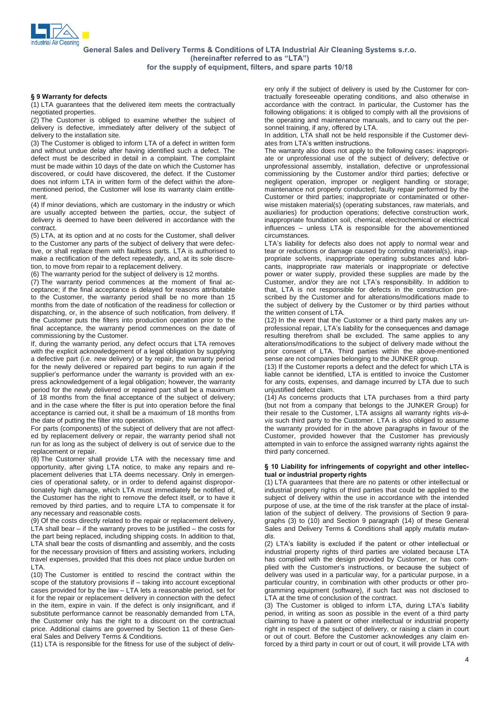

## <sup>9</sup> Warranty for defects

(1) LTA guarantees that the delivered item meets the contractually negotiated properties.

(2) The Customer is obliged to examine whether the subject of delivery is defective, immediately after delivery of the subject of delivery to the installation site.

(3) The Customer is obliged to inform LTA of a defect in written form ates from LTA's written instructions. and without undue delay after having identified such a defect. The defect must be described in detail in a complaint. The complaint must be made within 10 days of the date on which the Customer has discovered, or could have discovered, the defect. If the Customer does not inform LTA in written form of the defect within the afore mentioned period, the Customer will lose its warranty claim entitle ment.

(4) If minor deviations, which are customary in the industry or which are usually accepted between the parties, occur, the subject of delivery is deemed to have been delivered in accordance with the contract.

(5) LTA, at its option and at no costs for the Customer, shall deliver to the Customer any parts of the subject of delivery that were defective, or shall replace them with faultless parts. LTA is authorised to make a rectification of the defect repeatedly, and, at its sole discretion, to move from repair to a replacement delivery.

(6) The warranty period for the subject of delivery is 12 months.

(7) The warranty period commences at the moment of final ac ceptance; if the final acceptance is delayed for reasons attributable to the Customer, the warranty period shall be no more than 15 months from the date of notification of the readiness for collection or dispatching, or, in the absence of such notification, from delivery. If the Customer puts the filters into production operation prior to the final acceptance, the warranty period commences on the date of commissioning by the Customer.

If, during the warranty period, any defect occurs that LTA removes with the explicit acknowledgement of a legal obligation by supplying a defective part (i.e. new delivery) or by repair, the warranty period for the newly delivered or repaired part begins to run again if the supplier's performance under the warranty is provided with an exfor the newly delivered or repaired part begins to run again if the supplier's performance under the warranty is provided with an express acknowledgement of a legal obligation; however, the warranty period for the newly delivered or repaired part shall be a maximum of 18 months from the final acceptance of the subject of delivery; and in the case where the filter is put into operation before the final acceptance is carried out, it shall be a maximum of 18 months from their resale to the Customer, LTA assigns all warranty rights vis-àthe date of putting the filter into operation.

For parts (components) of the subject of delivery that are not affect ed by replacement delivery or repair, the warranty period shall not run for as long as the subject of delivery is out of service due to the replacement or repair.

(8) The Customer shall provide LTA with the necessary time and opportunity, after giving LTA notice, to make any repairs and re placement deliveries that LTA deems necessary. Only in emergen cies of operational safety, or in order to defend against disproportionately high damage, which LTA must immediately be notified of, the Customer has the right to remove the defect itself, or to have it removed by third parties, and to require LTA to compensate it for any necessary and reasonable costs.

(9) Of the costs directly related to the repair or replacement delivery, Environment symmal parasonable costs.<br>
(9) Of the costs directly related to the repair or replacement delivery,<br>
LTA shall bear – if the warranty proves to be justified – the costs for the part being replaced, including shipping costs. In addition to that, LTA shall bear the costs of dismantling and assembly, and the costs for the necessary provision of fitters and assisting workers, including travel expenses, provided that this does not place undue burden on LTA.

(10) The Customer is entitled to rescind the contract within the scope of the statutory provisions if – taking into account exceptional<br>(10) The Customer is entitled to rescind the contract within the<br>scope of the statutory provisions if – taking into account exceptional (10) The Customer is entitled to rescind the contract within the scope of the statutory provisions if  $-$  taking into account exceptional cases provided for by the law  $-$  LTA lets a reasonable period, set for it for the repair or replacement delivery in connection with the defect in the item, expire in vain. If the defect is only insignificant, and if substitute performance cannot be reasonably demanded from LTA, the Customer only has the right to a discount on the contractual price. Additional claims are governed by Section 11 of these General Sales and Delivery Terms & Conditions.

(11) LTA is responsible for the fitness for use of the subject of deliv-

ery only if the subject of delivery is used by the Customer for contractually foreseeable operating conditions, and also otherwise in accordance with the contract. In particular, the Customer has the following obligations: it is obliged to comply with all the provisions of the operating and maintenance manuals, and to carry out the per-

sonnel training, if any, offered by LTA.<br>In addition, LTA shall not be held respons<br>ates from LTA's written instructions. In addition, LTA shall not be held responsible if the Customer devi-

The warranty also does not apply to the following cases: inappropriate or unprofessional use of the subject of delivery; defective or unprofessional assembly, installation, defective or unprofessional commissioning by the Customer and/or third parties; defective or negligent operation, improper or negligent handling or storage; maintenance not properly conducted; faulty repair performed by the Customer or third parties; inappropriate or contaminated or other wise mistaken material(s) (operating substances, raw materials, and auxiliaries) for production operations; defective construction work, inappropriate foundation soil, chemical, electrochemical or electrical influences – unless LTA is responsible for the abovementioned inappropriate foundation soil, chemical, electrochemical or electrical circumstances.<br>LTA's liability for defects also does not apply to normal wear and influences - unless LTA is responsible for the abovementioned

tear or reductions or damage caused by corroding material(s), inappropriate solvents, inappropriate operating substances and lubri cants, inappropriate raw materials or inappropriate or defective power or water supply, provided these supplies are made by the cants, inappropriate raw materials or inappropriate or defective<br>power or water supply, provided these supplies are made by the<br>Customer, and/or they are not LTA's responsibility. In addition to that, LTA is not responsible for defects in the construction pre scribed by the Customer and for alterations/modifications made to the subject of delivery by the Customer or by third parties without the written consent of LTA.

(12) In the event that the Customer or a third party makes any un professional repair, LTA's liability for the consequences and damage resulting therefrom shall be excluded. The same applies to any alterations/modifications to the subject of delivery made without the prior consent of LTA. Third parties within the above-mentioned sense are not companies belonging to the JUNKER group.

(13) If the Customer reports a defect and the defect for which LTA is liable cannot be identified, LTA is entitled to invoice the Customer for any costs, expenses, and damage incurred by LTA due to such unjustified defect claim.

angualition colocol claim.<br>(14) As concerns products that LTA purchases from a third party<br>(but not from a company that belongs to the JUNKER Group) for<br>their resale to the Customer, LTA assigns all warranty rights vis-à-(but not from a company that belongs to the JUNKER Group) for vis such third party to the Customer. LTA is also obliged to assume the warranty provided for in the above paragraphs in favour of the Customer, provided however that the Customer has previously attempted in vain to enforce the assigned warranty rights against the third party concerned. reference in the content of the content of content and other intellec-<br>10 Liability for infringements of copyright and other intellec-

## pany sensomes.<br>Liability for infringements of copyr<br>or industrial property rights

(1) LTA guarantees that there are no patents orother intellectual or industrial property rights of third parties that could be applied to the subject of delivery within the use in accordance with the intended purpose of use, at the time of the risk transfer at the place of installation of the subject of delivery. The provisions of Section 9 para graphs (3) to (10) and Section 9 paragraph (14) of these General Barboo of delivery The provisions of Section 9 para-<br>graphs (3) to (10) and Section 9 paragraph (14) of these General<br>Sales and Delivery Terms & Conditions shall apply *mutatis mutan*-Sales and Delivery Terms & Conditions shall apply mutatis mutan-

dis.<br>(2) LTA's liability is excluded if the patent or other intellectual or industrial property rights of third parties are violated because LTA plied with the Customerís instructions, or because the subject of has complied with the design provided by Customer, or has complied with the Customer's instructions, or because the subject of delivery was used in a particular way, for a particular purpose, in a particular country, in combination with other products or other pro gramming equipment (software), if such fact was not disclosed to<br>LTA at the time of conclusion of the contract.<br>(3) The Customer is obliged to inform LTA, during LTA's liability

LTA at the time of conclusion of the contract.<br>(3) The Customer is obliged to inform LTA, during LTA's liability period, in writing as soon as possible in the event of a third party claiming to have a patent or other intellectual or industrial property right in respect of the subject of delivery, or raising a claim in court or out of court. Before the Customer acknowledges any claim enforced by a third party in court or out of court, it will provide LTA with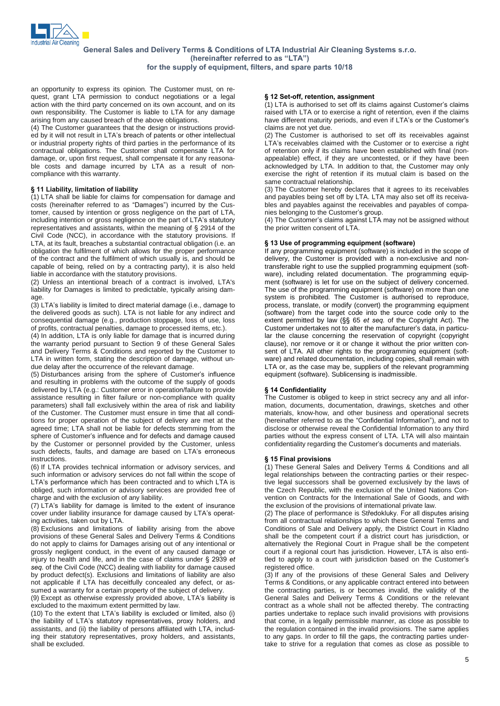

an opportunity to express its opinion. The Customer must, on re quest, grant LTA permission to conduct negotiations or a legal action with the third party concerned on its own account, and on its own responsibility. The Customer is liable to LTA for any damage arising from any caused breach of the above obligations.

(4) The Customer guarantees that the design or instructions provid ed by it will not result in LTA's breach of the above obligations.<br>
(4) The Customer guarantees that the design or instructions provided by it will not result in LTA's breach of patents or other intellectual or industrial property rights of third parties in the performance of its contractual obligations. The Customer shall compensate LTA for damage, or, upon first request, shall compensate it for any reasona ble costs and damage incurred by LTA as a result of non compliance with this warranty.<br> $\frac{1}{100}$  S 11 Liability, limitation of liability

(1) LTA shall be liable for claims for compensation for damage and § 11 Liability, limitation of liability<br>(1) LTA shall be liable for claims for compensation for damage and<br>costs (hereinafter referred to as "Damages") incurred by the Customer, caused by intention or gross negligence on the part of LTA, costs (hereinafter referred to as "Damages") incurred by the Customer, caused by intention or gross negligence on the part of LTA, including intention or gross negligence on the part of LTA's statutory tomer, caused by intention or gross negligence on the part of LTA, including intention or gross negligence on the part of LTA's statutory representatives and assistants, within the meaning of  $\S$  2914 of the Civil Code (NCC), in accordance with the statutory provisions. If LTA, at its fault, breaches a substantial contractual obligation (i.e. an obligation the fulfilment of which allows for the proper performance of the contract and the fulfilment of which usually is, and should be capable of being, relied on by a contracting party), it is also held liable in accordance with the statutory provisions.

(2) Unless an intentional breach of a contract is involved, LTA's liability for Damages is limited to predictable, typically arising damage

 $(3)$  LTA's liability is limited to direct material damage (i.e., damage to the delivered goods as such). LTA is not liable for any indirect and consequential damage (e.g., production stoppage, loss of use, loss of profits, contractual penalties, damage to processed items, etc.).

(4) In addition, LTA is only liable for damage that is incurred during the warranty period pursuant to Section 9 of these General Sales and Delivery Terms & Conditions and reported by the Customer to LTA in written form, stating the description of damage, without un-<br>due delay after the occurrence of the relevant damage.<br>(5) Disturbances arising from the sphere of Customer's influence

due delay after the occurrence of the relevant damage.<br>(5) Disturbances arising from the sphere of Customer's influence and resulting in problems with the outcome of the supply of goods delivered by LTA (e.g.: Customer error in operation/failure to provide assistance resulting in filter failure or non-compliance with quality parameters) shall fall exclusively within the area of risk and liability of the Customer. The Customer must ensure in time that all conditions for proper operation of the subject of delivery are met at the agreed time; LTA shall not be liable for defects stemming from the sphere of Customer's influence and for defects and damage caused agreed time; LTA shall not be liable for defects stemming from the by the Customer or personnel provided by the Customer, unless sphere of Customer's influence and for defects and damage caused<br>by the Customer or personnel provided by the Customer, unless<br>such defects, faults, and damage are based on LTA's erroneous instructions.

(6) If LTA provides technical information or advisory services, and<br>such information or advisory services do not fall within the scope of<br>LTA's performance which has been contracted and to which LTA is such information or advisory services do not fall within the scope of LTA's performance which has been contracted and to which LTA is obliged, such information or advisory services are provided free of charge and with the exclusion of any liability. obliged, such information or advisory services are provided free of charge and with the exclusion of any liability.<br>(7) LTA's liability for damage is limited to the extent of insurance

charge and with the exclusion of any liability.<br>(7) LTA's liability for damage is limited to the extent of insurance<br>cover under liability insurance for damage caused by LTA's operating activities, taken out by LTA.

 $(8)$  Exclusions and limitations of liability arising from the above provisions of these General Sales and Delivery Terms & Conditions do not apply to claims for Damages arising out of any intentional or grossly negligent conduct, in the event of any caused damage or From the health and life, and in the case are sense of any intentional or grossly negligent conduct, in the event of any caused damage or injury to health and life, and in the case of claims under  $\S$  2939  $e$  f seq. of the Civil Code (NCC) dealing with liability for damage caused by product defect(s). Exclusions and limitations of liability are also not applicable if LTA has deceitfully concealed any defect, or as-<br>sumed a warranty for a certain property of the subject of delivery.<br>(9) Except as otherwise expressly provided above, LTA's liability is

sumed a warranty for a certain property of the subject of delivery.<br>(9) Except as otherwise expressly provided above, LTA's liability is excluded to the maximum extent permitted by law. (3) Except as otherwise expressly provided above, LTA's liability is excluded to the maximum extent permitted by law.<br>(10) To the extent that LTA's liability is excluded or limited, also (i)

excluded to the maximum extent permitted by law.<br>(10) To the extent that LTA's liability is excluded or limited, also (i)<br>the liability of LTA's statutory representatives, proxy holders, and assistants, and (ii) the liability of persons affiliated with LTA, including their statutory representatives, proxy holders, and assistants, shall be excluded.

## <sup>12</sup> Set-off, retention, assignment

**§ 12 Set-off, retention, assignment**<br>(1) LTA is authorised to set off its claims against Customer's claims raised with LTA or to exercise a right of retention, even if the claims (1) LTA is authorised to set off its claims against Customer's claims raised with LTA or to exercise a right of retention, even if the claims have different maturity periods, and even if LTA's or the Customer's claims are not yet due.

(2) The Customer is authorised to set off its receivables against LTATION CONSIDER THE CUSTOMER CONSIDERS CONSIDER A REPORT OF THE CUSTOMER CONSIDERATION CONSIDERED A CONSIDERATION CONSIDERATION CONSIDERATION CONSIDERATION CONSIDERATION CONSIDERATION CONSIDERATION CONSIDERATION CONSIDERA of retention only if its claims have been established with final (non appealable) effect, if they are uncontested, or if they have been acknowledged by LTA. In addition to that, the Customer may only exercise the right of retention if its mutual claim is based on the same contractual relationship.

(3) The Customer hereby declares that it agrees to its receivables and payables being set off by LTA. LTA may also set off its receiva bles and payables against the receivables and payables of compa-<br>nies belonging to the Customer's group.<br>(4) The Customer's claims against LTA may not be assigned without nies belonging to the Customer's group.

(4) The Customer's claims against LTA may not be assigned without the prior written consent of LTA.

### <sup>13</sup> Use of programming equipment (software)

If any programming equipment (software) is included in the scope of delivery, the Customer is provided with a non-exclusive and nontransferable right to use the supplied programming equipment (soft ware), including related documentation. The programming equip ment (software) is let for use on the subject of delivery concerned. The use of the programming equipment (software) on more than one system is prohibited. The Customer is authorised to reproduce, process, translate, or modify (convert) the programming equipment (software) from the target code into the source code only to the extent is promined. The castellate of modify (convert) the programming equipment (software) from the target code into the source code only to the extent permitted by law ( $\S$  $S$  65 et seq. of the Copyright Act). The Customer undertakes not to alter the manufactureris data, in particu-<br>extent permitted by law ( $\S$  65 et seq. of the Copyright Act). The<br>Customer undertakes not to alter the manufacturer's data, in particular the clause concerning the reservation of copyright (copyright clause), nor remove or it or change it without the prior written consent of LTA. All other rights to the programming equipment (software) and related documentation, including copies, shall remain with LTA or, as the case may be, suppliers of the relevant programming equipment (software). Sublicensing is inadmissible.<br>**§ 14 Confidentiality** 

The Customer is obliged to keep in strict secrecy any and all infor mation, documents, documentation, drawings, sketches and other materials, know-how, and other business and operational secrets (hereinafter referred to as the "Confidential Information"), and not to materials, know-how, and other business and operational secrets (hereinafter referred to as the "Confidential Information"), and not to disclose or otherwise reveal the Confidential Information to any third parties without the express consent of LTA. LTA will also maintain disclose or otherwise reveal the Confidential Information to any third parties without the express consent of LTA. LTA will also maintain confidentiality regarding the Customer's documents and materials. confidentiality regarding the Customer's documents and materials.<br>§ 15 Final provisions

(1) These General Sales and Delivery Terms & Conditions and all legal relationships between the contracting parties or their respective legal successors shall be governed exclusively by the laws of the Czech Republic, with the exclusion of the United Nations Con vention on Contracts for the International Sale of Goods, and with the exclusion of the provisions of international private law.<br>(2) The place of performance is Středokluky. For all disputes arising

from all contractual relationships to which these General Terms and Conditions of Sale and Delivery apply, the District Court in Kladno shall be the competent court if a district court has jurisdiction, or alternatively the Regional Court in Prague shall be the competent court if a regional court has jurisdiction. However, LTA is also entialternatively the Regional Court in Prague shall be the competent court if a regional court has jurisdiction. However, LTA is also entitled to apply to a court with jurisdiction based on the Customer's registered office.

(3) If any of the provisions of these General Sales and Delivery Terms & Conditions, or any applicable contract entered into between the contracting parties, is or becomes invalid, the validity of the General Sales and Delivery Terms & Conditions or the relevant contract as a whole shall not be affected thereby. The contracting parties undertake to replace such invalid provisions with provisions that come, in a legally permissible manner, as close as possible to the regulation contained in the invalid provisions. The same applies to any gaps. In order to fill the gaps, the contracting parties undertake to strive for a regulation that comes as close as possible to